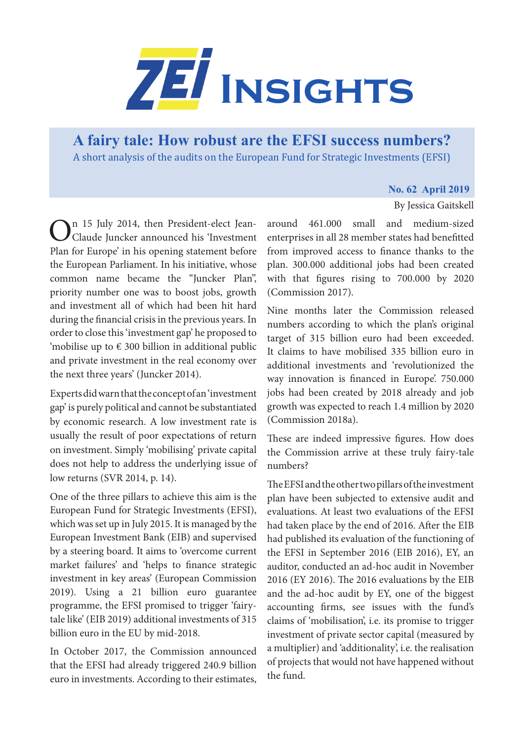

**[A fairy tale: How robust are the EFSI success numbers?](https://www.zei.uni-bonn.de/publications/zei-insights)**  A short analysis of the audits on the European Fund for Strategic Investments (EFSI)

## **No. 62 April 2019**

By Jessica Gaitskell

In 15 July 2014, then President-elect Jean-Claude Juncker announced his 'Investment Plan for Europe' in his opening statement before the European Parliament. In his initiative, whose common name became the "Juncker Plan", priority number one was to boost jobs, growth and investment all of which had been hit hard during the financial crisis in the previous years. In order to close this 'investment gap' he proposed to 'mobilise up to  $\epsilon$  300 billion in additional public and private investment in the real economy over the next three years' (Juncker 2014).

Experts did warn that the concept of an 'investment gap' is purely political and cannot be substantiated by economic research. A low investment rate is usually the result of poor expectations of return on investment. Simply 'mobilising' private capital does not help to address the underlying issue of low returns (SVR 2014, p. 14).

One of the three pillars to achieve this aim is the European Fund for Strategic Investments (EFSI), which was set up in July 2015. It is managed by the European Investment Bank (EIB) and supervised by a steering board. It aims to 'overcome current market failures' and 'helps to finance strategic investment in key areas' (European Commission 2019). Using a 21 billion euro guarantee programme, the EFSI promised to trigger 'fairytale like' (EIB 2019) additional investments of 315 billion euro in the EU by mid-2018.

In October 2017, the Commission announced that the EFSI had already triggered 240.9 billion euro in investments. According to their estimates,

around 461.000 small and medium-sized enterprises in all 28 member states had benefitted from improved access to finance thanks to the plan. 300.000 additional jobs had been created with that figures rising to 700.000 by 2020 (Commission 2017).

Nine months later the Commission released numbers according to which the plan's original target of 315 billion euro had been exceeded. It claims to have mobilised 335 billion euro in additional investments and 'revolutionized the way innovation is financed in Europe'. 750.000 jobs had been created by 2018 already and job growth was expected to reach 1.4 million by 2020 (Commission 2018a).

These are indeed impressive figures. How does the Commission arrive at these truly fairy-tale numbers?

The EFSI and the other two pillars of the investment plan have been subjected to extensive audit and evaluations. At least two evaluations of the EFSI had taken place by the end of 2016. After the EIB had published its evaluation of the functioning of the EFSI in September 2016 (EIB 2016), EY, an auditor, conducted an ad-hoc audit in November 2016 (EY 2016). The 2016 evaluations by the EIB and the ad-hoc audit by EY, one of the biggest accounting firms, see issues with the fund's claims of 'mobilisation', i.e. its promise to trigger investment of private sector capital (measured by a multiplier) and 'additionality', i.e. the realisation of projects that would not have happened without the fund.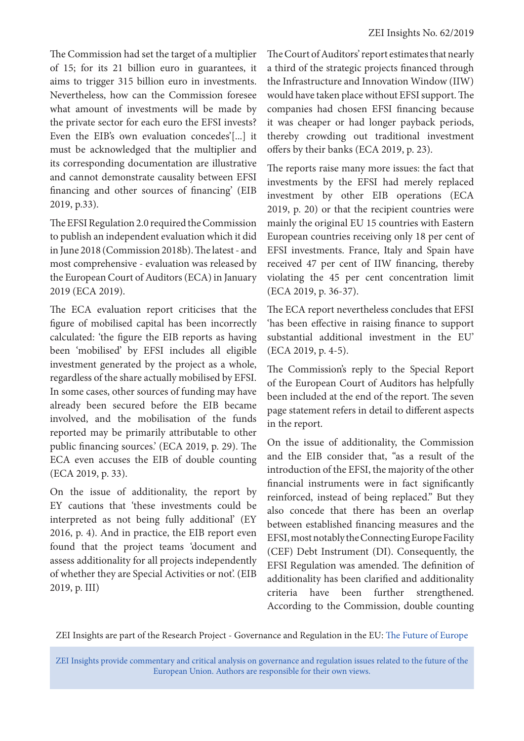The Commission had set the target of a multiplier of 15; for its 21 billion euro in guarantees, it aims to trigger 315 billion euro in investments. Nevertheless, how can the Commission foresee what amount of investments will be made by the private sector for each euro the EFSI invests? Even the EIB's own evaluation concedes'[...] it must be acknowledged that the multiplier and its corresponding documentation are illustrative and cannot demonstrate causality between EFSI financing and other sources of financing' (EIB 2019, p.33).

The EFSI Regulation 2.0 required the Commission to publish an independent evaluation which it did in June 2018 (Commission 2018b). The latest - and most comprehensive - evaluation was released by the European Court of Auditors (ECA) in January 2019 (ECA 2019).

The ECA evaluation report criticises that the figure of mobilised capital has been incorrectly calculated: 'the figure the EIB reports as having been 'mobilised' by EFSI includes all eligible investment generated by the project as a whole, regardless of the share actually mobilised by EFSI. In some cases, other sources of funding may have already been secured before the EIB became involved, and the mobilisation of the funds reported may be primarily attributable to other public financing sources.' (ECA 2019, p. 29). The ECA even accuses the EIB of double counting (ECA 2019, p. 33).

On the issue of additionality, the report by EY cautions that 'these investments could be interpreted as not being fully additional' (EY 2016, p. 4). And in practice, the EIB report even found that the project teams 'document and assess additionality for all projects independently of whether they are Special Activities or not'. (EIB 2019, p. III)

The Court of Auditors' report estimates that nearly a third of the strategic projects financed through the Infrastructure and Innovation Window (IIW) would have taken place without EFSI support. The companies had chosen EFSI financing because it was cheaper or had longer payback periods, thereby crowding out traditional investment offers by their banks (ECA 2019, p. 23).

The reports raise many more issues: the fact that investments by the EFSI had merely replaced investment by other EIB operations (ECA 2019, p. 20) or that the recipient countries were mainly the original EU 15 countries with Eastern European countries receiving only 18 per cent of EFSI investments. France, Italy and Spain have received 47 per cent of IIW financing, thereby violating the 45 per cent concentration limit (ECA 2019, p. 36-37).

The ECA report nevertheless concludes that EFSI 'has been effective in raising finance to support substantial additional investment in the EU' (ECA 2019, p. 4-5).

The Commission's reply to the Special Report of the European Court of Auditors has helpfully been included at the end of the report. The seven page statement refers in detail to different aspects in the report.

On the issue of additionality, the Commission and the EIB consider that, "as a result of the introduction of the EFSI, the majority of the other financial instruments were in fact significantly reinforced, instead of being replaced." But they also concede that there has been an overlap between established financing measures and the EFSI, most notably the Connecting Europe Facility (CEF) Debt Instrument (DI). Consequently, the EFSI Regulation was amended. The definition of additionality has been clarified and additionality criteria have been further strengthened. According to the Commission, double counting

ZEI Insights are part of the Research Project - Governance and Regulation in the EU: [The Future of Europe](https://www.zei.uni-bonn.de/research/governance-and-regulation?set_language=en)

ZEI Insights provide commentary and critical analysis on governance and regulation issues related to the future of the European Union. Authors are responsible for their own views.